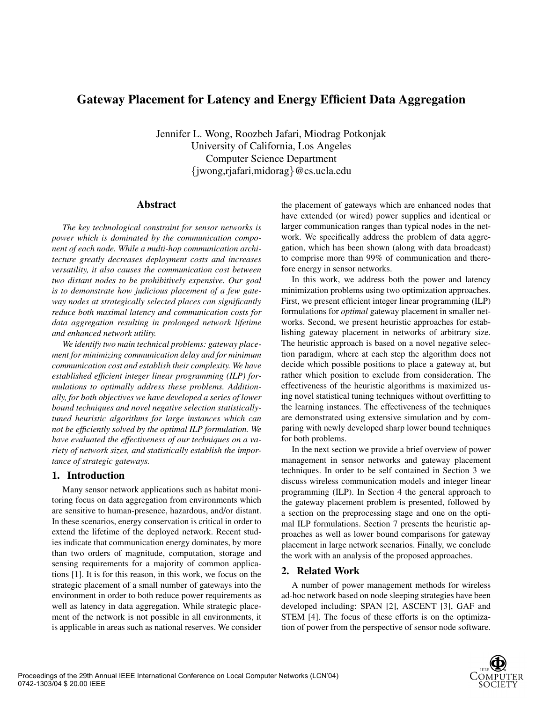# **Gateway Placement for Latency and Energy Efficient Data Aggregation**

Jennifer L. Wong, Roozbeh Jafari, Miodrag Potkonjak University of California, Los Angeles Computer Science Department {jwong,rjafari,midorag}@cs.ucla.edu

## **Abstract**

*The key technological constraint for sensor networks is power which is dominated by the communication component of each node. While a multi-hop communication architecture greatly decreases deployment costs and increases versatility, it also causes the communication cost between two distant nodes to be prohibitively expensive. Our goal is to demonstrate how judicious placement of a few gateway nodes at strategically selected places can significantly reduce both maximal latency and communication costs for data aggregation resulting in prolonged network lifetime and enhanced network utility.*

*We identify two main technical problems: gateway placement for minimizing communication delay and for minimum communication cost and establish their complexity. We have established efficient integer linear programming (ILP) formulations to optimally address these problems. Additionally, for both objectives we have developed a series of lower bound techniques and novel negative selection statisticallytuned heuristic algorithms for large instances which can not be efficiently solved by the optimal ILP formulation. We have evaluated the effectiveness of our techniques on a variety of network sizes, and statistically establish the importance of strategic gateways.*

# **1. Introduction**

Many sensor network applications such as habitat monitoring focus on data aggregation from environments which are sensitive to human-presence, hazardous, and/or distant. In these scenarios, energy conservation is critical in order to extend the lifetime of the deployed network. Recent studies indicate that communication energy dominates, by more than two orders of magnitude, computation, storage and sensing requirements for a majority of common applications [1]. It is for this reason, in this work, we focus on the strategic placement of a small number of gateways into the environment in order to both reduce power requirements as well as latency in data aggregation. While strategic placement of the network is not possible in all environments, it is applicable in areas such as national reserves. We consider the placement of gateways which are enhanced nodes that have extended (or wired) power supplies and identical or larger communication ranges than typical nodes in the network. We specifically address the problem of data aggregation, which has been shown (along with data broadcast) to comprise more than 99% of communication and therefore energy in sensor networks.

In this work, we address both the power and latency minimization problems using two optimization approaches. First, we present efficient integer linear programming (ILP) formulations for *optimal* gateway placement in smaller networks. Second, we present heuristic approaches for establishing gateway placement in networks of arbitrary size. The heuristic approach is based on a novel negative selection paradigm, where at each step the algorithm does not decide which possible positions to place a gateway at, but rather which position to exclude from consideration. The effectiveness of the heuristic algorithms is maximized using novel statistical tuning techniques without overfitting to the learning instances. The effectiveness of the techniques are demonstrated using extensive simulation and by comparing with newly developed sharp lower bound techniques for both problems.

In the next section we provide a brief overview of power management in sensor networks and gateway placement techniques. In order to be self contained in Section 3 we discuss wireless communication models and integer linear programming (ILP). In Section 4 the general approach to the gateway placement problem is presented, followed by a section on the preprocessing stage and one on the optimal ILP formulations. Section 7 presents the heuristic approaches as well as lower bound comparisons for gateway placement in large network scenarios. Finally, we conclude the work with an analysis of the proposed approaches.

# **2. Related Work**

A number of power management methods for wireless ad-hoc network based on node sleeping strategies have been developed including: SPAN [2], ASCENT [3], GAF and STEM [4]. The focus of these efforts is on the optimization of power from the perspective of sensor node software.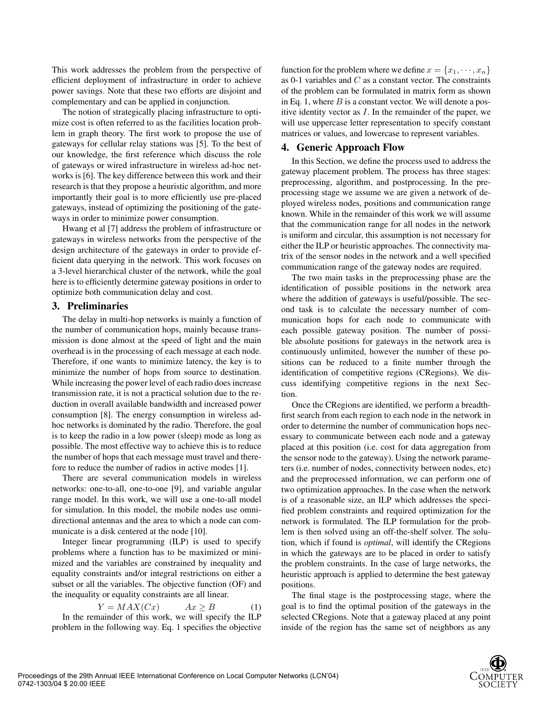This work addresses the problem from the perspective of efficient deployment of infrastructure in order to achieve power savings. Note that these two efforts are disjoint and complementary and can be applied in conjunction.

The notion of strategically placing infrastructure to optimize cost is often referred to as the facilities location problem in graph theory. The first work to propose the use of gateways for cellular relay stations was [5]. To the best of our knowledge, the first reference which discuss the role of gateways or wired infrastructure in wireless ad-hoc networks is [6]. The key difference between this work and their research is that they propose a heuristic algorithm, and more importantly their goal is to more efficiently use pre-placed gateways, instead of optimizing the positioning of the gateways in order to minimize power consumption.

Hwang et al [7] address the problem of infrastructure or gateways in wireless networks from the perspective of the design architecture of the gateways in order to provide efficient data querying in the network. This work focuses on a 3-level hierarchical cluster of the network, while the goal here is to efficiently determine gateway positions in order to optimize both communication delay and cost.

### **3. Preliminaries**

The delay in multi-hop networks is mainly a function of the number of communication hops, mainly because transmission is done almost at the speed of light and the main overhead is in the processing of each message at each node. Therefore, if one wants to minimize latency, the key is to minimize the number of hops from source to destination. While increasing the power level of each radio does increase transmission rate, it is not a practical solution due to the reduction in overall available bandwidth and increased power consumption [8]. The energy consumption in wireless adhoc networks is dominated by the radio. Therefore, the goal is to keep the radio in a low power (sleep) mode as long as possible. The most effective way to achieve this is to reduce the number of hops that each message must travel and therefore to reduce the number of radios in active modes [1].

There are several communication models in wireless networks: one-to-all, one-to-one [9], and variable angular range model. In this work, we will use a one-to-all model for simulation. In this model, the mobile nodes use omnidirectional antennas and the area to which a node can communicate is a disk centered at the node [10].

Integer linear programming (ILP) is used to specify problems where a function has to be maximized or minimized and the variables are constrained by inequality and equality constraints and/or integral restrictions on either a subset or all the variables. The objective function (OF) and the inequality or equality constraints are all linear.

 $Y = MAX(Cx)$   $Ax \geq B$  (1) In the remainder of this work, we will specify the ILP problem in the following way. Eq. 1 specifies the objective function for the problem where we define  $x = \{x_1, \dots, x_n\}$ as 0-1 variables and  $C$  as a constant vector. The constraints of the problem can be formulated in matrix form as shown in Eq. 1, where  $B$  is a constant vector. We will denote a positive identity vector as  $I$ . In the remainder of the paper, we will use uppercase letter representation to specify constant matrices or values, and lowercase to represent variables.

## **4. Generic Approach Flow**

In this Section, we define the process used to address the gateway placement problem. The process has three stages: preprocessing, algorithm, and postprocessing. In the preprocessing stage we assume we are given a network of deployed wireless nodes, positions and communication range known. While in the remainder of this work we will assume that the communication range for all nodes in the network is uniform and circular, this assumption is not necessary for either the ILP or heuristic approaches. The connectivity matrix of the sensor nodes in the network and a well specified communication range of the gateway nodes are required.

The two main tasks in the preprocessing phase are the identification of possible positions in the network area where the addition of gateways is useful/possible. The second task is to calculate the necessary number of communication hops for each node to communicate with each possible gateway position. The number of possible absolute positions for gateways in the network area is continuously unlimited, however the number of these positions can be reduced to a finite number through the identification of competitive regions (CRegions). We discuss identifying competitive regions in the next Section.

Once the CRegions are identified, we perform a breadthfirst search from each region to each node in the network in order to determine the number of communication hops necessary to communicate between each node and a gateway placed at this position (i.e. cost for data aggregation from the sensor node to the gateway). Using the network parameters (i.e. number of nodes, connectivity between nodes, etc) and the preprocessed information, we can perform one of two optimization approaches. In the case when the network is of a reasonable size, an ILP which addresses the specified problem constraints and required optimization for the network is formulated. The ILP formulation for the problem is then solved using an off-the-shelf solver. The solution, which if found is *optimal*, will identify the CRegions in which the gateways are to be placed in order to satisfy the problem constraints. In the case of large networks, the heuristic approach is applied to determine the best gateway positions.

The final stage is the postprocessing stage, where the goal is to find the optimal position of the gateways in the selected CRegions. Note that a gateway placed at any point inside of the region has the same set of neighbors as any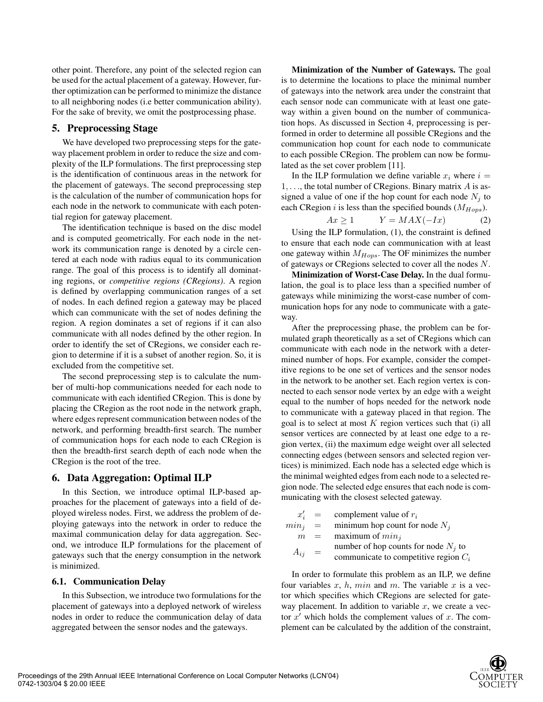other point. Therefore, any point of the selected region can be used for the actual placement of a gateway. However, further optimization can be performed to minimize the distance to all neighboring nodes (i.e better communication ability). For the sake of brevity, we omit the postprocessing phase.

# **5. Preprocessing Stage**

We have developed two preprocessing steps for the gateway placement problem in order to reduce the size and complexity of the ILP formulations. The first preprocessing step is the identification of continuous areas in the network for the placement of gateways. The second preprocessing step is the calculation of the number of communication hops for each node in the network to communicate with each potential region for gateway placement.

The identification technique is based on the disc model and is computed geometrically. For each node in the network its communication range is denoted by a circle centered at each node with radius equal to its communication range. The goal of this process is to identify all dominating regions, or *competitive regions (CRegions)*. A region is defined by overlapping communication ranges of a set of nodes. In each defined region a gateway may be placed which can communicate with the set of nodes defining the region. A region dominates a set of regions if it can also communicate with all nodes defined by the other region. In order to identify the set of CRegions, we consider each region to determine if it is a subset of another region. So, it is excluded from the competitive set.

The second preprocessing step is to calculate the number of multi-hop communications needed for each node to communicate with each identified CRegion. This is done by placing the CRegion as the root node in the network graph, where edges represent communication between nodes of the network, and performing breadth-first search. The number of communication hops for each node to each CRegion is then the breadth-first search depth of each node when the CRegion is the root of the tree.

## **6. Data Aggregation: Optimal ILP**

In this Section, we introduce optimal ILP-based approaches for the placement of gateways into a field of deployed wireless nodes. First, we address the problem of deploying gateways into the network in order to reduce the maximal communication delay for data aggregation. Second, we introduce ILP formulations for the placement of gateways such that the energy consumption in the network is minimized.

## **6.1. Communication Delay**

In this Subsection, we introduce two formulations for the placement of gateways into a deployed network of wireless nodes in order to reduce the communication delay of data aggregated between the sensor nodes and the gateways.

**Minimization of the Number of Gateways.** The goal is to determine the locations to place the minimal number of gateways into the network area under the constraint that each sensor node can communicate with at least one gateway within a given bound on the number of communication hops. As discussed in Section 4, preprocessing is performed in order to determine all possible CRegions and the communication hop count for each node to communicate to each possible CRegion. The problem can now be formulated as the set cover problem [11].

In the ILP formulation we define variable  $x_i$  where  $i =$  $1, \ldots$ , the total number of CRegions. Binary matrix A is assigned a value of one if the hop count for each node  $N_i$  to each CRegion *i* is less than the specified bounds  $(M_{Hops})$ .

$$
Ax \ge 1 \qquad Y = MAX(-Ix) \tag{2}
$$

Using the ILP formulation, (1), the constraint is defined to ensure that each node can communication with at least one gateway within  $M_{Hops}$ . The OF minimizes the number of gateways or CRegions selected to cover all the nodes N.

**Minimization of Worst-Case Delay.** In the dual formulation, the goal is to place less than a specified number of gateways while minimizing the worst-case number of communication hops for any node to communicate with a gateway.

After the preprocessing phase, the problem can be formulated graph theoretically as a set of CRegions which can communicate with each node in the network with a determined number of hops. For example, consider the competitive regions to be one set of vertices and the sensor nodes in the network to be another set. Each region vertex is connected to each sensor node vertex by an edge with a weight equal to the number of hops needed for the network node to communicate with a gateway placed in that region. The goal is to select at most  $K$  region vertices such that (i) all sensor vertices are connected by at least one edge to a region vertex, (ii) the maximum edge weight over all selected connecting edges (between sensors and selected region vertices) is minimized. Each node has a selected edge which is the minimal weighted edges from each node to a selected region node. The selected edge ensures that each node is communicating with the closest selected gateway.

|            |     | $x'_i$ = complement value of $r_i$      |
|------------|-----|-----------------------------------------|
| $min_i$    | $=$ | minimum hop count for node $N_i$        |
| m          | $=$ | maximum of $min_i$                      |
| $A_{ij}$ = |     | number of hop counts for node $N_i$ to  |
|            |     | communicate to competitive region $C_i$ |

In order to formulate this problem as an ILP, we define four variables  $x$ ,  $h$ ,  $min$  and  $m$ . The variable  $x$  is a vector which specifies which CRegions are selected for gateway placement. In addition to variable  $x$ , we create a vector  $x'$  which holds the complement values of x. The complement can be calculated by the addition of the constraint,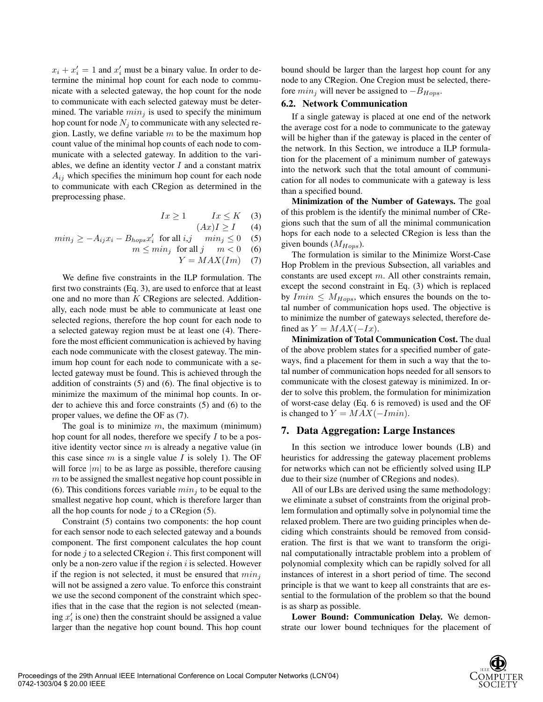$x_i + x'_i = 1$  and  $x'_i$  must be a binary value. In order to determine the minimal hop count for each node to communicate with a selected gateway, the hop count for the node to communicate with each selected gateway must be determined. The variable  $min_j$  is used to specify the minimum hop count for node  $N_i$  to communicate with any selected region. Lastly, we define variable  $m$  to be the maximum hop count value of the minimal hop counts of each node to communicate with a selected gateway. In addition to the variables, we define an identity vector  $I$  and a constant matrix  $A_{ij}$  which specifies the minimum hop count for each node to communicate with each CRegion as determined in the preprocessing phase.

$$
Ix \ge 1 \qquad Ix \le K \quad (3)
$$
  
\n
$$
min_j \ge -A_{ij}x_i - B_{hops}x'_i \text{ for all } i, j \qquad min_j \le 0 \quad (5)
$$
  
\n
$$
m \le min_j \text{ for all } j \qquad m < 0 \quad (6)
$$
  
\n
$$
Y = MAX(Im) \quad (7)
$$

We define five constraints in the ILP formulation. The first two constraints (Eq. 3), are used to enforce that at least one and no more than K CRegions are selected. Additionally, each node must be able to communicate at least one selected regions, therefore the hop count for each node to a selected gateway region must be at least one (4). Therefore the most efficient communication is achieved by having each node communicate with the closest gateway. The minimum hop count for each node to communicate with a selected gateway must be found. This is achieved through the addition of constraints (5) and (6). The final objective is to minimize the maximum of the minimal hop counts. In order to achieve this and force constraints (5) and (6) to the proper values, we define the OF as (7).

The goal is to minimize  $m$ , the maximum (minimum) hop count for all nodes, therefore we specify  $I$  to be a positive identity vector since  $m$  is already a negative value (in this case since  $m$  is a single value  $I$  is solely 1). The OF will force  $|m|$  to be as large as possible, therefore causing m to be assigned the smallest negative hop count possible in (6). This conditions forces variable  $min<sub>j</sub>$  to be equal to the smallest negative hop count, which is therefore larger than all the hop counts for node  $j$  to a CRegion (5).

Constraint (5) contains two components: the hop count for each sensor node to each selected gateway and a bounds component. The first component calculates the hop count for node  $j$  to a selected CRegion  $i$ . This first component will only be a non-zero value if the region  $i$  is selected. However if the region is not selected, it must be ensured that  $min_i$ will not be assigned a zero value. To enforce this constraint we use the second component of the constraint which specifies that in the case that the region is not selected (meaning  $x_i$  is one) then the constraint should be assigned a value larger than the negative hop count bound. This hop count

bound should be larger than the largest hop count for any node to any CRegion. One Cregion must be selected, therefore  $min_i$  will never be assigned to  $-B_{Hops}$ .

#### **6.2. Network Communication**

If a single gateway is placed at one end of the network the average cost for a node to communicate to the gateway will be higher than if the gateway is placed in the center of the network. In this Section, we introduce a ILP formulation for the placement of a minimum number of gateways into the network such that the total amount of communication for all nodes to communicate with a gateway is less than a specified bound.

**Minimization of the Number of Gateways.** The goal of this problem is the identify the minimal number of CRegions such that the sum of all the minimal communication hops for each node to a selected CRegion is less than the given bounds  $(M_{Hops})$ .

The formulation is similar to the Minimize Worst-Case Hop Problem in the previous Subsection, all variables and constants are used except m. All other constraints remain, except the second constraint in Eq. (3) which is replaced by  $Imin \leq M_{Hops}$ , which ensures the bounds on the total number of communication hops used. The objective is to minimize the number of gateways selected, therefore defined as  $Y = MAX(-Ix)$ .

**Minimization of Total Communication Cost.** The dual of the above problem states for a specified number of gateways, find a placement for them in such a way that the total number of communication hops needed for all sensors to communicate with the closest gateway is minimized. In order to solve this problem, the formulation for minimization of worst-case delay (Eq. 6 is removed) is used and the OF is changed to  $Y = MAX(-Imin)$ .

### **7. Data Aggregation: Large Instances**

In this section we introduce lower bounds (LB) and heuristics for addressing the gateway placement problems for networks which can not be efficiently solved using ILP due to their size (number of CRegions and nodes).

All of our LBs are derived using the same methodology: we eliminate a subset of constraints from the original problem formulation and optimally solve in polynomial time the relaxed problem. There are two guiding principles when deciding which constraints should be removed from consideration. The first is that we want to transform the original computationally intractable problem into a problem of polynomial complexity which can be rapidly solved for all instances of interest in a short period of time. The second principle is that we want to keep all constraints that are essential to the formulation of the problem so that the bound is as sharp as possible.

**Lower Bound: Communication Delay.** We demonstrate our lower bound techniques for the placement of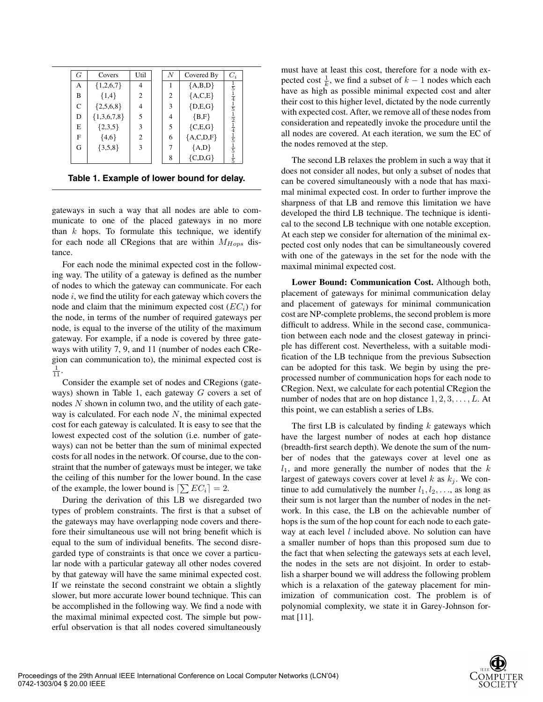| G | Covers        | Util | $\boldsymbol{N}$ |                | Covered By     | $C_i$                                                                                                                         |  |
|---|---------------|------|------------------|----------------|----------------|-------------------------------------------------------------------------------------------------------------------------------|--|
| А | ${1,2,6,7}$   | 4    |                  |                | ${A,B,D}$      | $\frac{1}{5}$                                                                                                                 |  |
| B | ${1,4}$       | 2    |                  | $\overline{c}$ | ${A, C, E}$    |                                                                                                                               |  |
| C | ${2,5,6,8}$   | 4    |                  | 3              | $\{D,E,G\}$    |                                                                                                                               |  |
| D | ${1,3,6,7,8}$ | 5    |                  | 4              | ${B,F}$        |                                                                                                                               |  |
| E | ${2,3,5}$     | 3    |                  | 5              | ${C, E, G}$    |                                                                                                                               |  |
| F | ${4,6}$       | 2    |                  | 6              | ${A, C, D, F}$ |                                                                                                                               |  |
| G | ${3,5,8}$     | 3    |                  | 7              | ${A,D}$        | $\frac{1}{4}$ $\frac{1}{5}$ $\frac{5}{1}$ $\frac{1}{2}$ $\frac{1}{4}$ $\frac{1}{5}$ $\frac{1}{1}$ $\frac{5}{5}$ $\frac{1}{1}$ |  |
|   |               |      |                  | 8              | ${C,D,G}$      | $\bar{5}$                                                                                                                     |  |

**Table 1. Example of lower bound for delay.**

gateways in such a way that all nodes are able to communicate to one of the placed gateways in no more than  $k$  hops. To formulate this technique, we identify for each node all CRegions that are within  $M_{Hops}$  distance.

For each node the minimal expected cost in the following way. The utility of a gateway is defined as the number of nodes to which the gateway can communicate. For each node  $i$ , we find the utility for each gateway which covers the node and claim that the minimum expected cost  $(EC<sub>i</sub>)$  for the node, in terms of the number of required gateways per node, is equal to the inverse of the utility of the maximum gateway. For example, if a node is covered by three gateways with utility 7, 9, and 11 (number of nodes each CRegion can communication to), the minimal expected cost is  $\frac{1}{11}$ .

Consider the example set of nodes and CRegions (gateways) shown in Table 1, each gateway G covers a set of nodes  $N$  shown in column two, and the utility of each gateway is calculated. For each node  $N$ , the minimal expected cost for each gateway is calculated. It is easy to see that the lowest expected cost of the solution (i.e. number of gateways) can not be better than the sum of minimal expected costs for all nodes in the network. Of course, due to the constraint that the number of gateways must be integer, we take the ceiling of this number for the lower bound. In the case of the example, the lower bound is  $[\sum EC_i] = 2$ .

During the derivation of this LB we disregarded two types of problem constraints. The first is that a subset of the gateways may have overlapping node covers and therefore their simultaneous use will not bring benefit which is equal to the sum of individual benefits. The second disregarded type of constraints is that once we cover a particular node with a particular gateway all other nodes covered by that gateway will have the same minimal expected cost. If we reinstate the second constraint we obtain a slightly slower, but more accurate lower bound technique. This can be accomplished in the following way. We find a node with the maximal minimal expected cost. The simple but powerful observation is that all nodes covered simultaneously

must have at least this cost, therefore for a node with expected cost  $\frac{1}{k}$ , we find a subset of  $k - 1$  nodes which each have as high as possible minimal expected cost and alter their cost to this higher level, dictated by the node currently with expected cost. After, we remove all of these nodes from consideration and repeatedly invoke the procedure until the all nodes are covered. At each iteration, we sum the EC of the nodes removed at the step.

The second LB relaxes the problem in such a way that it does not consider all nodes, but only a subset of nodes that can be covered simultaneously with a node that has maximal minimal expected cost. In order to further improve the sharpness of that LB and remove this limitation we have developed the third LB technique. The technique is identical to the second LB technique with one notable exception. At each step we consider for alternation of the minimal expected cost only nodes that can be simultaneously covered with one of the gateways in the set for the node with the maximal minimal expected cost.

**Lower Bound: Communication Cost.** Although both, placement of gateways for minimal communication delay and placement of gateways for minimal communication cost are NP-complete problems, the second problem is more difficult to address. While in the second case, communication between each node and the closest gateway in principle has different cost. Nevertheless, with a suitable modification of the LB technique from the previous Subsection can be adopted for this task. We begin by using the preprocessed number of communication hops for each node to CRegion. Next, we calculate for each potential CRegion the number of nodes that are on hop distance  $1, 2, 3, \ldots, L$ . At this point, we can establish a series of LBs.

The first LB is calculated by finding  $k$  gateways which have the largest number of nodes at each hop distance (breadth-first search depth). We denote the sum of the number of nodes that the gateways cover at level one as  $l_1$ , and more generally the number of nodes that the  $k$ largest of gateways covers cover at level k as  $k_j$ . We continue to add cumulatively the number  $l_1, l_2, \ldots$ , as long as their sum is not larger than the number of nodes in the network. In this case, the LB on the achievable number of hops is the sum of the hop count for each node to each gateway at each level  $l$  included above. No solution can have a smaller number of hops than this proposed sum due to the fact that when selecting the gateways sets at each level, the nodes in the sets are not disjoint. In order to establish a sharper bound we will address the following problem which is a relaxation of the gateway placement for minimization of communication cost. The problem is of polynomial complexity, we state it in Garey-Johnson format [11].

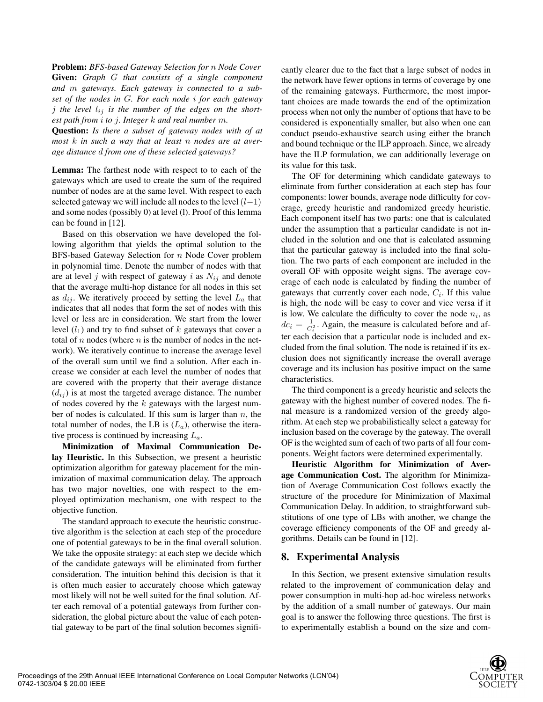**Problem:** *BFS-based Gateway Selection for* n *Node Cover* **Given:** *Graph* G *that consists of a single component and* m *gateways. Each gateway is connected to a subset of the nodes in* G*. For each node* i *for each gateway*  $j$  the level  $l_{ij}$  is the number of the edges on the short*est path from* i *to* j*. Integer* k *and real number* m*.*

**Question:** *Is there a subset of gateway nodes with of at most* k *in such a way that at least* n *nodes are at average distance* d *from one of these selected gateways?*

**Lemma:** The farthest node with respect to to each of the gateways which are used to create the sum of the required number of nodes are at the same level. With respect to each selected gateway we will include all nodes to the level  $(l-1)$ and some nodes (possibly 0) at level (l). Proof of this lemma can be found in [12].

Based on this observation we have developed the following algorithm that yields the optimal solution to the BFS-based Gateway Selection for n Node Cover problem in polynomial time. Denote the number of nodes with that are at level j with respect of gateway i as  $N_{ij}$  and denote that the average multi-hop distance for all nodes in this set as  $d_{ij}$ . We iteratively proceed by setting the level  $L_a$  that indicates that all nodes that form the set of nodes with this level or less are in consideration. We start from the lower level  $(l_1)$  and try to find subset of k gateways that cover a total of  $n$  nodes (where  $n$  is the number of nodes in the network). We iteratively continue to increase the average level of the overall sum until we find a solution. After each increase we consider at each level the number of nodes that are covered with the property that their average distance  $(d_{ij})$  is at most the targeted average distance. The number of nodes covered by the  $k$  gateways with the largest number of nodes is calculated. If this sum is larger than  $n$ , the total number of nodes, the LB is  $(L_a)$ , otherwise the iterative process is continued by increasing  $L_a$ .

**Minimization of Maximal Communication Delay Heuristic.** In this Subsection, we present a heuristic optimization algorithm for gateway placement for the minimization of maximal communication delay. The approach has two major novelties, one with respect to the employed optimization mechanism, one with respect to the objective function.

The standard approach to execute the heuristic constructive algorithm is the selection at each step of the procedure one of potential gateways to be in the final overall solution. We take the opposite strategy: at each step we decide which of the candidate gateways will be eliminated from further consideration. The intuition behind this decision is that it is often much easier to accurately choose which gateway most likely will not be well suited for the final solution. After each removal of a potential gateways from further consideration, the global picture about the value of each potential gateway to be part of the final solution becomes signifi-

cantly clearer due to the fact that a large subset of nodes in the network have fewer options in terms of coverage by one of the remaining gateways. Furthermore, the most important choices are made towards the end of the optimization process when not only the number of options that have to be considered is exponentially smaller, but also when one can conduct pseudo-exhaustive search using either the branch and bound technique or the ILP approach. Since, we already have the ILP formulation, we can additionally leverage on its value for this task.

The OF for determining which candidate gateways to eliminate from further consideration at each step has four components: lower bounds, average node difficulty for coverage, greedy heuristic and randomized greedy heuristic. Each component itself has two parts: one that is calculated under the assumption that a particular candidate is not included in the solution and one that is calculated assuming that the particular gateway is included into the final solution. The two parts of each component are included in the overall OF with opposite weight signs. The average coverage of each node is calculated by finding the number of gateways that currently cover each node,  $C_i$ . If this value is high, the node will be easy to cover and vice versa if it is low. We calculate the difficulty to cover the node  $n_i$ , as  $dc_i = \frac{1}{C_i^2}$ . Again, the measure is calculated before and after each decision that a particular node is included and excluded from the final solution. The node is retained if its exclusion does not significantly increase the overall average coverage and its inclusion has positive impact on the same characteristics.

The third component is a greedy heuristic and selects the gateway with the highest number of covered nodes. The final measure is a randomized version of the greedy algorithm. At each step we probabilistically select a gateway for inclusion based on the coverage by the gateway. The overall OF is the weighted sum of each of two parts of all four components. Weight factors were determined experimentally.

**Heuristic Algorithm for Minimization of Average Communication Cost.** The algorithm for Minimization of Average Communication Cost follows exactly the structure of the procedure for Minimization of Maximal Communication Delay. In addition, to straightforward substitutions of one type of LBs with another, we change the coverage efficiency components of the OF and greedy algorithms. Details can be found in [12].

## **8. Experimental Analysis**

In this Section, we present extensive simulation results related to the improvement of communication delay and power consumption in multi-hop ad-hoc wireless networks by the addition of a small number of gateways. Our main goal is to answer the following three questions. The first is to experimentally establish a bound on the size and com-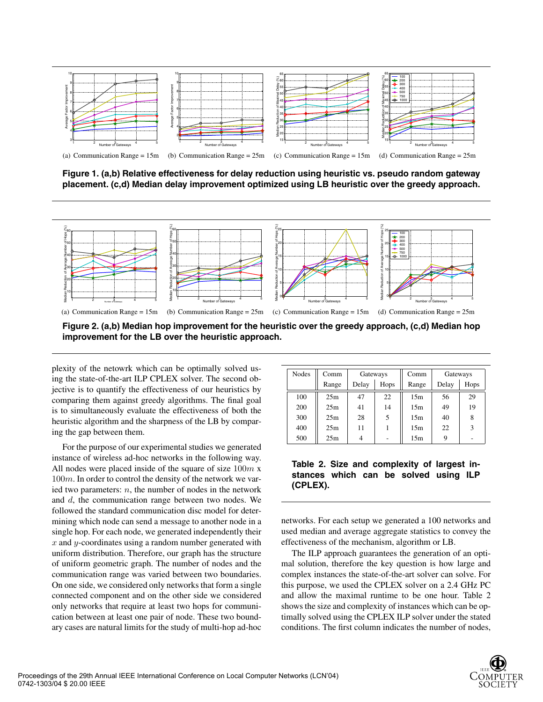

**Figure 1. (a,b) Relative effectiveness for delay reduction using heuristic vs. pseudo random gateway placement. (c,d) Median delay improvement optimized using LB heuristic over the greedy approach.**



**Figure 2. (a,b) Median hop improvement for the heuristic over the greedy approach, (c,d) Median hop improvement for the LB over the heuristic approach.**

plexity of the netowrk which can be optimally solved using the state-of-the-art ILP CPLEX solver. The second objective is to quantify the effectiveness of our heuristics by comparing them against greedy algorithms. The final goal is to simultaneously evaluate the effectiveness of both the heuristic algorithm and the sharpness of the LB by comparing the gap between them.

For the purpose of our experimental studies we generated instance of wireless ad-hoc networks in the following way. All nodes were placed inside of the square of size  $100m x$ 100m. In order to control the density of the network we varied two parameters:  $n$ , the number of nodes in the network and d, the communication range between two nodes. We followed the standard communication disc model for determining which node can send a message to another node in a single hop. For each node, we generated independently their  $x$  and  $y$ -coordinates using a random number generated with uniform distribution. Therefore, our graph has the structure of uniform geometric graph. The number of nodes and the communication range was varied between two boundaries. On one side, we considered only networks that form a single connected component and on the other side we considered only networks that require at least two hops for communication between at least one pair of node. These two boundary cases are natural limits for the study of multi-hop ad-hoc

| <b>Nodes</b> | Comm  | Gateways |      | Comm  | Gateways |      |
|--------------|-------|----------|------|-------|----------|------|
|              | Range | Delay    | Hops | Range | Delay    | Hops |
| 100          | 25m   | 47       | 22   | 15m   | 56       | 29   |
| 200          | 25m   | 41       | 14   | 15m   | 49       | 19   |
| 300          | 25m   | 28       | 5    | 15m   | 40       | 8    |
| 400          | 25m   | 11       |      | 15m   | 22       | 3    |
| 500          | 25m   |          |      | 15m   |          |      |

# **Table 2. Size and complexity of largest instances which can be solved using ILP (CPLEX).**

networks. For each setup we generated a 100 networks and used median and average aggregate statistics to convey the effectiveness of the mechanism, algorithm or LB.

The ILP approach guarantees the generation of an optimal solution, therefore the key question is how large and complex instances the state-of-the-art solver can solve. For this purpose, we used the CPLEX solver on a 2.4 GHz PC and allow the maximal runtime to be one hour. Table 2 shows the size and complexity of instances which can be optimally solved using the CPLEX ILP solver under the stated conditions. The first column indicates the number of nodes,